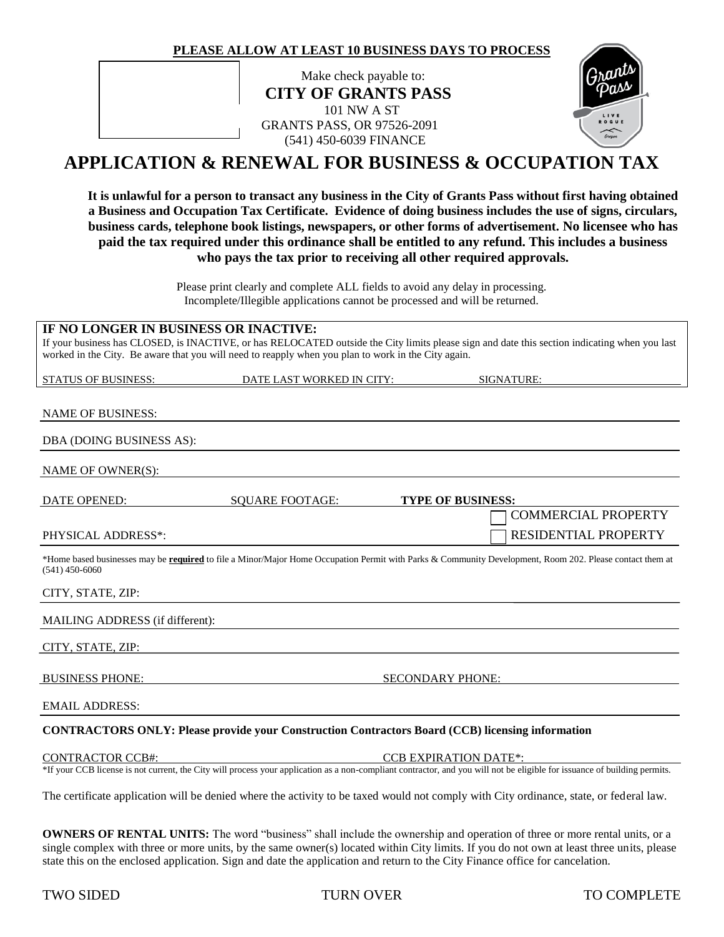**PLEASE ALLOW AT LEAST 10 BUSINESS DAYS TO PROCESS**

Make check payable to: **CITY OF GRANTS PASS** 101 NW A ST GRANTS PASS, OR 97526-2091 (541) 450-6039 FINANCE



# **APPLICATION & RENEWAL FOR BUSINESS & OCCUPATION TAX**

**It is unlawful for a person to transact any business in the City of Grants Pass without first having obtained a Business and Occupation Tax Certificate. Evidence of doing business includes the use of signs, circulars, business cards, telephone book listings, newspapers, or other forms of advertisement. No licensee who has paid the tax required under this ordinance shall be entitled to any refund. This includes a business who pays the tax prior to receiving all other required approvals.**

> Please print clearly and complete ALL fields to avoid any delay in processing. Incomplete/Illegible applications cannot be processed and will be returned.

# **IF NO LONGER IN BUSINESS OR INACTIVE:**

If your business has CLOSED, is INACTIVE, or has RELOCATED outside the City limits please sign and date this section indicating when you last worked in the City. Be aware that you will need to reapply when you plan to work in the City again.

STATUS OF BUSINESS: DATE LAST WORKED IN CITY: SIGNATURE:

# NAME OF BUSINESS:

# DBA (DOING BUSINESS AS):

NAME OF OWNER(S):

| DATE OPENED:       | SOUARE FOOTAGE: | <b>TYPE OF BUSINESS:</b>                                                                                                                                        |  |
|--------------------|-----------------|-----------------------------------------------------------------------------------------------------------------------------------------------------------------|--|
|                    |                 | $\Box$ COMMERCIAL PROPERTY                                                                                                                                      |  |
| PHYSICAL ADDRESS*: |                 | <b>RESIDENTIAL PROPERTY</b>                                                                                                                                     |  |
| $(541)$ 450-6060   |                 | *Home based businesses may be <b>required</b> to file a Minor/Major Home Occupation Permit with Parks & Community Development, Room 202. Please contact them at |  |

### CITY, STATE, ZIP:

## MAILING ADDRESS (if different):

CITY, STATE, ZIP:

BUSINESS PHONE: SECONDARY PHONE:

EMAIL ADDRESS:

# **CONTRACTORS ONLY: Please provide your Construction Contractors Board (CCB) licensing information**

CONTRACTOR CCB#: CCB EXPIRATION DATE\*:

\*If your CCB license is not current, the City will process your application as a non-compliant contractor, and you will not be eligible for issuance of building permits.

The certificate application will be denied where the activity to be taxed would not comply with City ordinance, state, or federal law.

**OWNERS OF RENTAL UNITS:** The word "business" shall include the ownership and operation of three or more rental units, or a single complex with three or more units, by the same owner(s) located within City limits. If you do not own at least three units, please state this on the enclosed application. Sign and date the application and return to the City Finance office for cancelation.